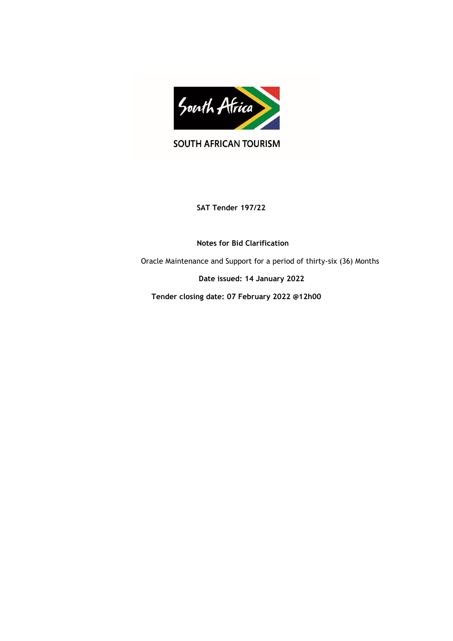

SOUTH AFRICAN TOURISM

**SAT Tender 197/22**

 **Notes for Bid Clarification**

Oracle Maintenance and Support for a period of thirty-six (36) Months

 **Date issued: 14 January 2022**

 **Tender closing date: 07 February 2022 @12h00**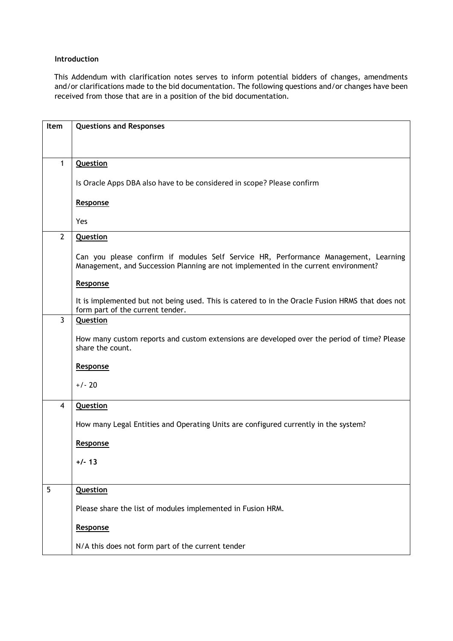## **Introduction**

This Addendum with clarification notes serves to inform potential bidders of changes, amendments and/or clarifications made to the bid documentation. The following questions and/or changes have been received from those that are in a position of the bid documentation.

| Item           | <b>Questions and Responses</b>                                                                                                                                             |
|----------------|----------------------------------------------------------------------------------------------------------------------------------------------------------------------------|
|                |                                                                                                                                                                            |
|                |                                                                                                                                                                            |
| 1              | <b>Question</b>                                                                                                                                                            |
|                | Is Oracle Apps DBA also have to be considered in scope? Please confirm                                                                                                     |
|                | Response                                                                                                                                                                   |
|                | Yes                                                                                                                                                                        |
| $\overline{2}$ | <b>Question</b>                                                                                                                                                            |
|                | Can you please confirm if modules Self Service HR, Performance Management, Learning<br>Management, and Succession Planning are not implemented in the current environment? |
|                | Response                                                                                                                                                                   |
|                | It is implemented but not being used. This is catered to in the Oracle Fusion HRMS that does not<br>form part of the current tender.                                       |
| 3              | <b>Question</b>                                                                                                                                                            |
|                | How many custom reports and custom extensions are developed over the period of time? Please<br>share the count.                                                            |
|                | Response                                                                                                                                                                   |
|                | $+/- 20$                                                                                                                                                                   |
| $\overline{4}$ | <b>Question</b>                                                                                                                                                            |
|                | How many Legal Entities and Operating Units are configured currently in the system?                                                                                        |
|                | Response                                                                                                                                                                   |
|                | $+/- 13$                                                                                                                                                                   |
|                |                                                                                                                                                                            |
| 5              | <b>Question</b>                                                                                                                                                            |
|                | Please share the list of modules implemented in Fusion HRM.                                                                                                                |
|                | Response                                                                                                                                                                   |
|                | N/A this does not form part of the current tender                                                                                                                          |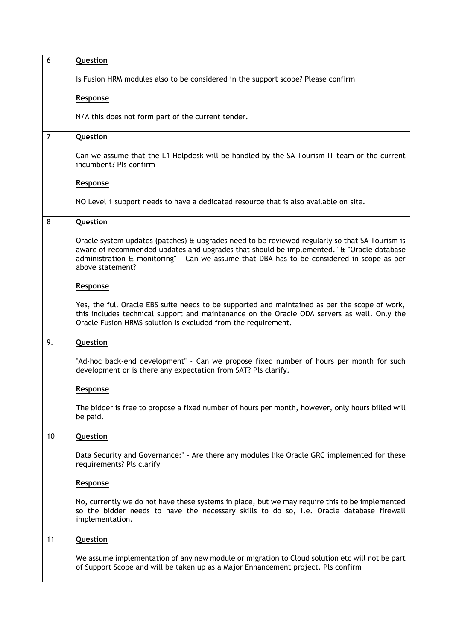| 6              | <b>Question</b>                                                                                                                                                                                                                                                                                               |
|----------------|---------------------------------------------------------------------------------------------------------------------------------------------------------------------------------------------------------------------------------------------------------------------------------------------------------------|
|                | Is Fusion HRM modules also to be considered in the support scope? Please confirm                                                                                                                                                                                                                              |
|                | Response                                                                                                                                                                                                                                                                                                      |
|                | N/A this does not form part of the current tender.                                                                                                                                                                                                                                                            |
| $\overline{7}$ | Question                                                                                                                                                                                                                                                                                                      |
|                | Can we assume that the L1 Helpdesk will be handled by the SA Tourism IT team or the current<br>incumbent? Pls confirm                                                                                                                                                                                         |
|                | Response                                                                                                                                                                                                                                                                                                      |
|                | NO Level 1 support needs to have a dedicated resource that is also available on site.                                                                                                                                                                                                                         |
| 8              | <b>Question</b>                                                                                                                                                                                                                                                                                               |
|                | Oracle system updates (patches) & upgrades need to be reviewed regularly so that SA Tourism is<br>aware of recommended updates and upgrades that should be implemented." & "Oracle database<br>administration & monitoring" - Can we assume that DBA has to be considered in scope as per<br>above statement? |
|                | Response                                                                                                                                                                                                                                                                                                      |
|                | Yes, the full Oracle EBS suite needs to be supported and maintained as per the scope of work,<br>this includes technical support and maintenance on the Oracle ODA servers as well. Only the<br>Oracle Fusion HRMS solution is excluded from the requirement.                                                 |
| 9.             | <b>Question</b>                                                                                                                                                                                                                                                                                               |
|                | "Ad-hoc back-end development" - Can we propose fixed number of hours per month for such<br>development or is there any expectation from SAT? Pls clarify.                                                                                                                                                     |
|                | Response                                                                                                                                                                                                                                                                                                      |
|                | The bidder is free to propose a fixed number of hours per month, however, only hours billed will<br>be paid.                                                                                                                                                                                                  |
| 10             | <b>Question</b>                                                                                                                                                                                                                                                                                               |
|                | Data Security and Governance:" - Are there any modules like Oracle GRC implemented for these<br>requirements? Pls clarify                                                                                                                                                                                     |
|                | Response                                                                                                                                                                                                                                                                                                      |
|                | No, currently we do not have these systems in place, but we may require this to be implemented<br>so the bidder needs to have the necessary skills to do so, i.e. Oracle database firewall<br>implementation.                                                                                                 |
| 11             | <b>Question</b>                                                                                                                                                                                                                                                                                               |
|                | We assume implementation of any new module or migration to Cloud solution etc will not be part<br>of Support Scope and will be taken up as a Major Enhancement project. Pls confirm                                                                                                                           |